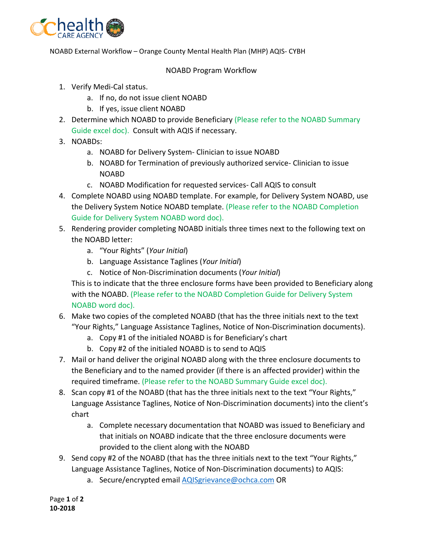

NOABD External Workflow – Orange County Mental Health Plan (MHP) AQIS- CYBH

## NOABD Program Workflow

- 1. Verify Medi-Cal status.
	- a. If no, do not issue client NOABD
	- b. If yes, issue client NOABD
- 2. Determine which NOABD to provide Beneficiary (Please refer to the NOABD Summary Guide excel doc). Consult with AQIS if necessary.
- 3. NOABDs:
	- a. NOABD for Delivery System- Clinician to issue NOABD
	- b. NOABD for Termination of previously authorized service- Clinician to issue NOABD
	- c. NOABD Modification for requested services- Call AQIS to consult
- 4. Complete NOABD using NOABD template. For example, for Delivery System NOABD, use the Delivery System Notice NOABD template. (Please refer to the NOABD Completion Guide for Delivery System NOABD word doc).
- 5. Rendering provider completing NOABD initials three times next to the following text on the NOABD letter:
	- a. "Your Rights" (*Your Initial*)
	- b. Language Assistance Taglines (*Your Initial*)
	- c. Notice of Non-Discrimination documents (*Your Initial*)

This is to indicate that the three enclosure forms have been provided to Beneficiary along with the NOABD. (Please refer to the NOABD Completion Guide for Delivery System NOABD word doc).

- 6. Make two copies of the completed NOABD (that has the three initials next to the text "Your Rights," Language Assistance Taglines, Notice of Non-Discrimination documents).
	- a. Copy #1 of the initialed NOABD is for Beneficiary's chart
	- b. Copy #2 of the initialed NOABD is to send to AQIS
- 7. Mail or hand deliver the original NOABD along with the three enclosure documents to the Beneficiary and to the named provider (if there is an affected provider) within the required timeframe. (Please refer to the NOABD Summary Guide excel doc).
- 8. Scan copy #1 of the NOABD (that has the three initials next to the text "Your Rights," Language Assistance Taglines, Notice of Non-Discrimination documents) into the client's chart
	- a. Complete necessary documentation that NOABD was issued to Beneficiary and that initials on NOABD indicate that the three enclosure documents were provided to the client along with the NOABD
- 9. Send copy #2 of the NOABD (that has the three initials next to the text "Your Rights," Language Assistance Taglines, Notice of Non-Discrimination documents) to AQIS:
	- a. Secure/encrypted email [AQISgrievance@ochca.com](mailto:AQISgrievance@ochca.com) OR